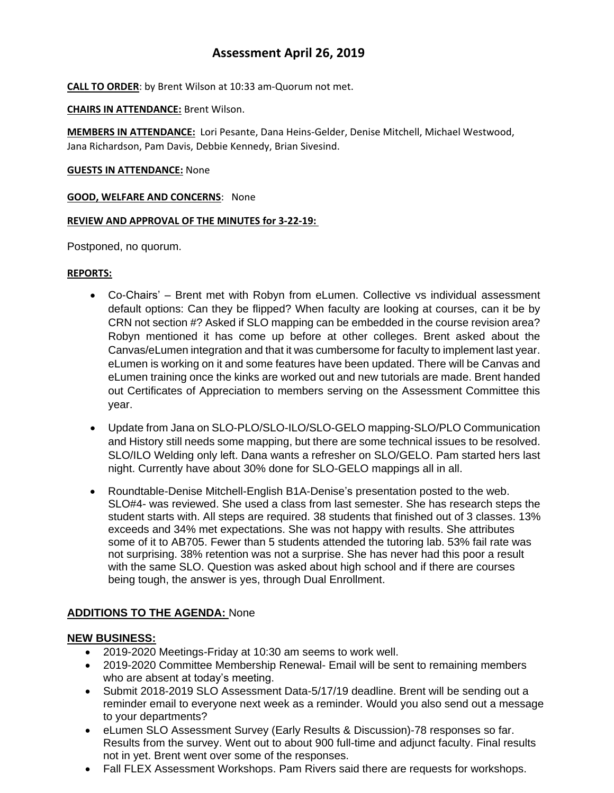# **Assessment April 26, 2019**

**CALL TO ORDER**: by Brent Wilson at 10:33 am-Quorum not met.

**CHAIRS IN ATTENDANCE:** Brent Wilson.

**MEMBERS IN ATTENDANCE:** Lori Pesante, Dana Heins-Gelder, Denise Mitchell, Michael Westwood, Jana Richardson, Pam Davis, Debbie Kennedy, Brian Sivesind.

#### **GUESTS IN ATTENDANCE:** None

#### **GOOD, WELFARE AND CONCERNS**: None

#### **REVIEW AND APPROVAL OF THE MINUTES for 3-22-19:**

Postponed, no quorum.

#### **REPORTS:**

- Co-Chairs' Brent met with Robyn from eLumen. Collective vs individual assessment default options: Can they be flipped? When faculty are looking at courses, can it be by CRN not section #? Asked if SLO mapping can be embedded in the course revision area? Robyn mentioned it has come up before at other colleges. Brent asked about the Canvas/eLumen integration and that it was cumbersome for faculty to implement last year. eLumen is working on it and some features have been updated. There will be Canvas and eLumen training once the kinks are worked out and new tutorials are made. Brent handed out Certificates of Appreciation to members serving on the Assessment Committee this year.
- Update from Jana on SLO-PLO/SLO-ILO/SLO-GELO mapping-SLO/PLO Communication and History still needs some mapping, but there are some technical issues to be resolved. SLO/ILO Welding only left. Dana wants a refresher on SLO/GELO. Pam started hers last night. Currently have about 30% done for SLO-GELO mappings all in all.
- Roundtable-Denise Mitchell-English B1A-Denise's presentation posted to the web. SLO#4- was reviewed. She used a class from last semester. She has research steps the student starts with. All steps are required. 38 students that finished out of 3 classes. 13% exceeds and 34% met expectations. She was not happy with results. She attributes some of it to AB705. Fewer than 5 students attended the tutoring lab. 53% fail rate was not surprising. 38% retention was not a surprise. She has never had this poor a result with the same SLO. Question was asked about high school and if there are courses being tough, the answer is yes, through Dual Enrollment.

### **ADDITIONS TO THE AGENDA:** None

### **NEW BUSINESS:**

- 2019-2020 Meetings-Friday at 10:30 am seems to work well.
- 2019-2020 Committee Membership Renewal- Email will be sent to remaining members who are absent at today's meeting.
- Submit 2018-2019 SLO Assessment Data-5/17/19 deadline. Brent will be sending out a reminder email to everyone next week as a reminder. Would you also send out a message to your departments?
- eLumen SLO Assessment Survey (Early Results & Discussion)-78 responses so far. Results from the survey. Went out to about 900 full-time and adjunct faculty. Final results not in yet. Brent went over some of the responses.
- Fall FLEX Assessment Workshops. Pam Rivers said there are requests for workshops.